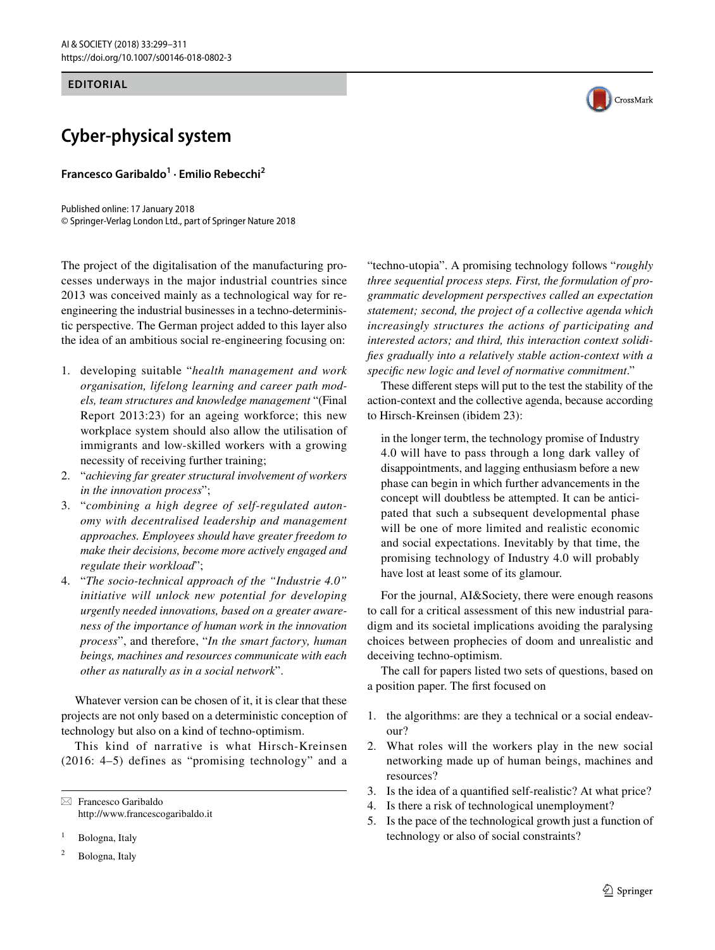**EDITORIAL**

## **Cyber-physical system**

**Francesco Garibaldo1 · Emilio Rebecchi2**

Published online: 17 January 2018 © Springer-Verlag London Ltd., part of Springer Nature 2018

The project of the digitalisation of the manufacturing processes underways in the major industrial countries since 2013 was conceived mainly as a technological way for reengineering the industrial businesses in a techno-deterministic perspective. The German project added to this layer also the idea of an ambitious social re-engineering focusing on:

- 1. developing suitable "*health management and work organisation, lifelong learning and career path models, team structures and knowledge management* "(Final Report 2013:23) for an ageing workforce; this new workplace system should also allow the utilisation of immigrants and low-skilled workers with a growing necessity of receiving further training;
- 2. "*achieving far greater structural involvement of workers in the innovation process*";
- 3. "*combining a high degree of self-regulated autonomy with decentralised leadership and management approaches. Employees should have greater freedom to make their decisions, become more actively engaged and regulate their workload*";
- 4. "*The socio-technical approach of the "Industrie 4.0" initiative will unlock new potential for developing urgently needed innovations, based on a greater awareness of the importance of human work in the innovation process*", and therefore, "*In the smart factory, human beings, machines and resources communicate with each other as naturally as in a social network*".

Whatever version can be chosen of it, it is clear that these projects are not only based on a deterministic conception of technology but also on a kind of techno-optimism.

This kind of narrative is what Hirsch-Kreinsen (2016: 4–5) defines as "promising technology" and a

 $\boxtimes$  Francesco Garibaldo http://www.francescogaribaldo.it



"techno-utopia". A promising technology follows "*roughly three sequential process steps. First, the formulation of programmatic development perspectives called an expectation statement; second, the project of a collective agenda which increasingly structures the actions of participating and interested actors; and third, this interaction context solidifies gradually into a relatively stable action-context with a specific new logic and level of normative commitment*."

These different steps will put to the test the stability of the action-context and the collective agenda, because according to Hirsch-Kreinsen (ibidem 23):

in the longer term, the technology promise of Industry 4.0 will have to pass through a long dark valley of disappointments, and lagging enthusiasm before a new phase can begin in which further advancements in the concept will doubtless be attempted. It can be anticipated that such a subsequent developmental phase will be one of more limited and realistic economic and social expectations. Inevitably by that time, the promising technology of Industry 4.0 will probably have lost at least some of its glamour.

For the journal, AI&Society, there were enough reasons to call for a critical assessment of this new industrial paradigm and its societal implications avoiding the paralysing choices between prophecies of doom and unrealistic and deceiving techno-optimism.

The call for papers listed two sets of questions, based on a position paper. The first focused on

- 1. the algorithms: are they a technical or a social endeavour?
- 2. What roles will the workers play in the new social networking made up of human beings, machines and resources?
- 3. Is the idea of a quantified self-realistic? At what price?
- 4. Is there a risk of technological unemployment?
- 5. Is the pace of the technological growth just a function of technology or also of social constraints?

<sup>&</sup>lt;sup>1</sup> Bologna, Italy

<sup>2</sup> Bologna, Italy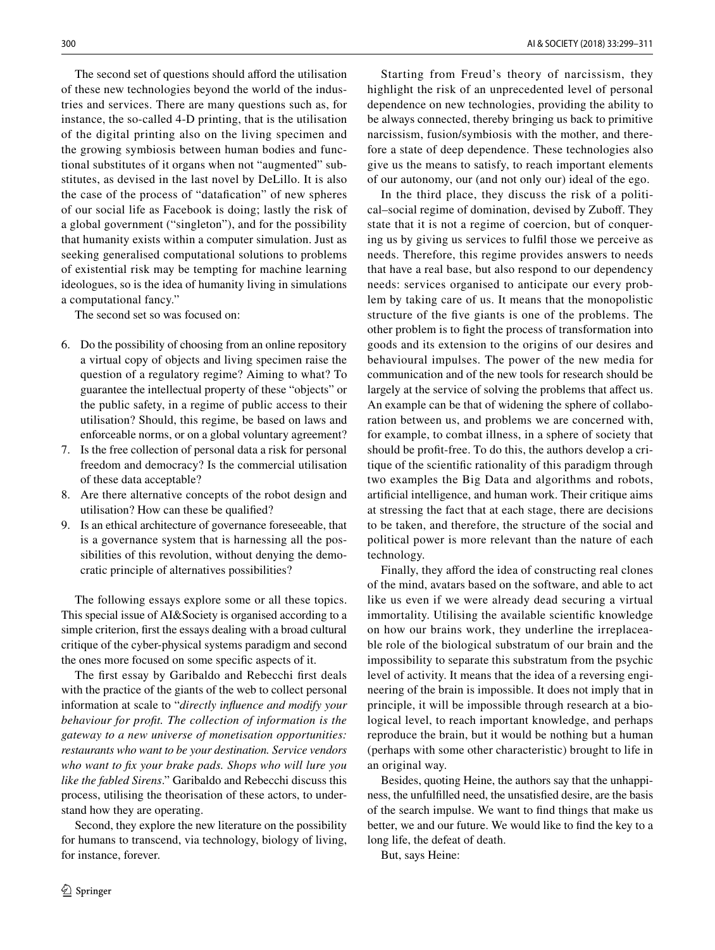The second set of questions should afford the utilisation of these new technologies beyond the world of the industries and services. There are many questions such as, for instance, the so-called 4-D printing, that is the utilisation of the digital printing also on the living specimen and the growing symbiosis between human bodies and functional substitutes of it organs when not "augmented" substitutes, as devised in the last novel by DeLillo. It is also the case of the process of "datafication" of new spheres of our social life as Facebook is doing; lastly the risk of a global government ("singleton"), and for the possibility that humanity exists within a computer simulation. Just as seeking generalised computational solutions to problems of existential risk may be tempting for machine learning ideologues, so is the idea of humanity living in simulations a computational fancy."

The second set so was focused on:

- 6. Do the possibility of choosing from an online repository a virtual copy of objects and living specimen raise the question of a regulatory regime? Aiming to what? To guarantee the intellectual property of these "objects" or the public safety, in a regime of public access to their utilisation? Should, this regime, be based on laws and enforceable norms, or on a global voluntary agreement?
- 7. Is the free collection of personal data a risk for personal freedom and democracy? Is the commercial utilisation of these data acceptable?
- 8. Are there alternative concepts of the robot design and utilisation? How can these be qualified?
- 9. Is an ethical architecture of governance foreseeable, that is a governance system that is harnessing all the possibilities of this revolution, without denying the democratic principle of alternatives possibilities?

The following essays explore some or all these topics. This special issue of AI&Society is organised according to a simple criterion, first the essays dealing with a broad cultural critique of the cyber-physical systems paradigm and second the ones more focused on some specific aspects of it.

The first essay by Garibaldo and Rebecchi first deals with the practice of the giants of the web to collect personal information at scale to "*directly influence and modify your behaviour for profit. The collection of information is the gateway to a new universe of monetisation opportunities: restaurants who want to be your destination. Service vendors who want to fix your brake pads. Shops who will lure you like the fabled Sirens*." Garibaldo and Rebecchi discuss this process, utilising the theorisation of these actors, to understand how they are operating.

Second, they explore the new literature on the possibility for humans to transcend, via technology, biology of living, for instance, forever.

Starting from Freud's theory of narcissism, they highlight the risk of an unprecedented level of personal dependence on new technologies, providing the ability to be always connected, thereby bringing us back to primitive narcissism, fusion/symbiosis with the mother, and therefore a state of deep dependence. These technologies also give us the means to satisfy, to reach important elements of our autonomy, our (and not only our) ideal of the ego.

In the third place, they discuss the risk of a political–social regime of domination, devised by Zuboff. They state that it is not a regime of coercion, but of conquering us by giving us services to fulfil those we perceive as needs. Therefore, this regime provides answers to needs that have a real base, but also respond to our dependency needs: services organised to anticipate our every problem by taking care of us. It means that the monopolistic structure of the five giants is one of the problems. The other problem is to fight the process of transformation into goods and its extension to the origins of our desires and behavioural impulses. The power of the new media for communication and of the new tools for research should be largely at the service of solving the problems that affect us. An example can be that of widening the sphere of collaboration between us, and problems we are concerned with, for example, to combat illness, in a sphere of society that should be profit-free. To do this, the authors develop a critique of the scientific rationality of this paradigm through two examples the Big Data and algorithms and robots, artificial intelligence, and human work. Their critique aims at stressing the fact that at each stage, there are decisions to be taken, and therefore, the structure of the social and political power is more relevant than the nature of each technology.

Finally, they afford the idea of constructing real clones of the mind, avatars based on the software, and able to act like us even if we were already dead securing a virtual immortality. Utilising the available scientific knowledge on how our brains work, they underline the irreplaceable role of the biological substratum of our brain and the impossibility to separate this substratum from the psychic level of activity. It means that the idea of a reversing engineering of the brain is impossible. It does not imply that in principle, it will be impossible through research at a biological level, to reach important knowledge, and perhaps reproduce the brain, but it would be nothing but a human (perhaps with some other characteristic) brought to life in an original way.

Besides, quoting Heine, the authors say that the unhappiness, the unfulfilled need, the unsatisfied desire, are the basis of the search impulse. We want to find things that make us better, we and our future. We would like to find the key to a long life, the defeat of death.

But, says Heine: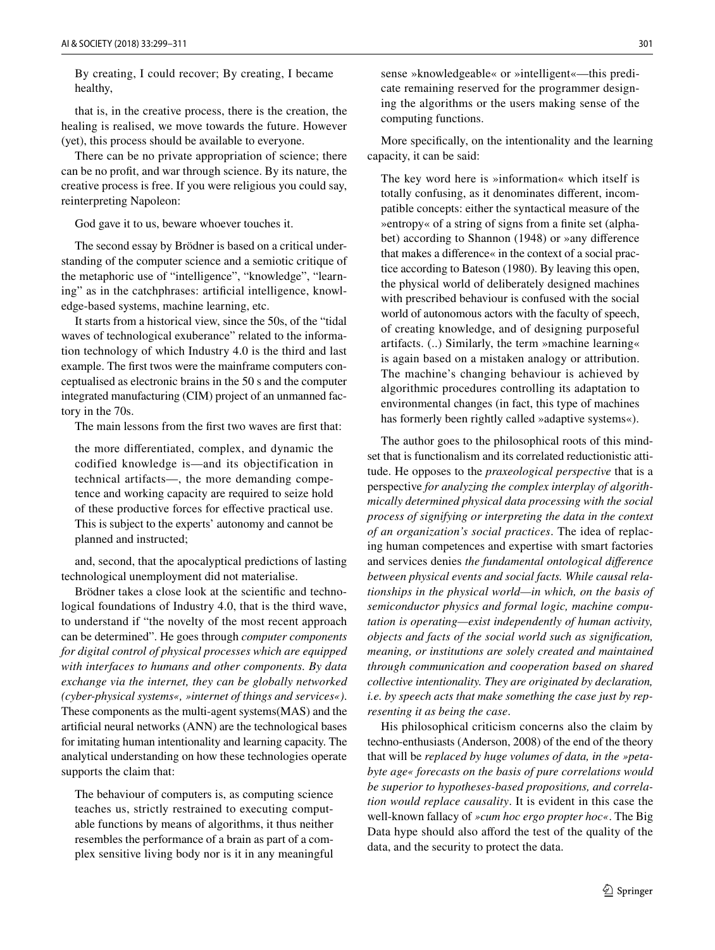By creating, I could recover; By creating, I became healthy,

that is, in the creative process, there is the creation, the healing is realised, we move towards the future. However (yet), this process should be available to everyone.

There can be no private appropriation of science; there can be no profit, and war through science. By its nature, the creative process is free. If you were religious you could say, reinterpreting Napoleon:

God gave it to us, beware whoever touches it.

The second essay by Brödner is based on a critical understanding of the computer science and a semiotic critique of the metaphoric use of "intelligence", "knowledge", "learning" as in the catchphrases: artificial intelligence, knowledge-based systems, machine learning, etc.

It starts from a historical view, since the 50s, of the "tidal waves of technological exuberance" related to the information technology of which Industry 4.0 is the third and last example. The first twos were the mainframe computers conceptualised as electronic brains in the 50 s and the computer integrated manufacturing (CIM) project of an unmanned factory in the 70s.

The main lessons from the first two waves are first that:

the more differentiated, complex, and dynamic the codified knowledge is—and its objectification in technical artifacts—, the more demanding competence and working capacity are required to seize hold of these productive forces for effective practical use. This is subject to the experts' autonomy and cannot be planned and instructed;

and, second, that the apocalyptical predictions of lasting technological unemployment did not materialise.

Brödner takes a close look at the scientific and technological foundations of Industry 4.0, that is the third wave, to understand if "the novelty of the most recent approach can be determined". He goes through *computer components for digital control of physical processes which are equipped with interfaces to humans and other components. By data exchange via the internet, they can be globally networked (cyber-physical systems«, »internet of things and services«)*. These components as the multi-agent systems(MAS) and the artificial neural networks (ANN) are the technological bases for imitating human intentionality and learning capacity. The analytical understanding on how these technologies operate supports the claim that:

The behaviour of computers is, as computing science teaches us, strictly restrained to executing computable functions by means of algorithms, it thus neither resembles the performance of a brain as part of a complex sensitive living body nor is it in any meaningful sense »knowledgeable« or »intelligent«—this predicate remaining reserved for the programmer designing the algorithms or the users making sense of the computing functions.

More specifically, on the intentionality and the learning capacity, it can be said:

The key word here is »information« which itself is totally confusing, as it denominates different, incompatible concepts: either the syntactical measure of the »entropy« of a string of signs from a finite set (alphabet) according to Shannon (1948) or »any difference that makes a difference« in the context of a social practice according to Bateson (1980). By leaving this open, the physical world of deliberately designed machines with prescribed behaviour is confused with the social world of autonomous actors with the faculty of speech, of creating knowledge, and of designing purposeful artifacts. (..) Similarly, the term »machine learning« is again based on a mistaken analogy or attribution. The machine's changing behaviour is achieved by algorithmic procedures controlling its adaptation to environmental changes (in fact, this type of machines has formerly been rightly called »adaptive systems«).

The author goes to the philosophical roots of this mindset that is functionalism and its correlated reductionistic attitude. He opposes to the *praxeological perspective* that is a perspective *for analyzing the complex interplay of algorithmically determined physical data processing with the social process of signifying or interpreting the data in the context of an organization's social practices*. The idea of replacing human competences and expertise with smart factories and services denies *the fundamental ontological difference between physical events and social facts. While causal relationships in the physical world—in which, on the basis of semiconductor physics and formal logic, machine computation is operating—exist independently of human activity, objects and facts of the social world such as signification, meaning, or institutions are solely created and maintained through communication and cooperation based on shared collective intentionality. They are originated by declaration, i.e. by speech acts that make something the case just by representing it as being the case*.

His philosophical criticism concerns also the claim by techno-enthusiasts (Anderson, 2008) of the end of the theory that will be *replaced by huge volumes of data, in the »petabyte age« forecasts on the basis of pure correlations would be superior to hypotheses-based propositions, and correlation would replace causality*. It is evident in this case the well-known fallacy of *»cum hoc ergo propter hoc«*. The Big Data hype should also afford the test of the quality of the data, and the security to protect the data.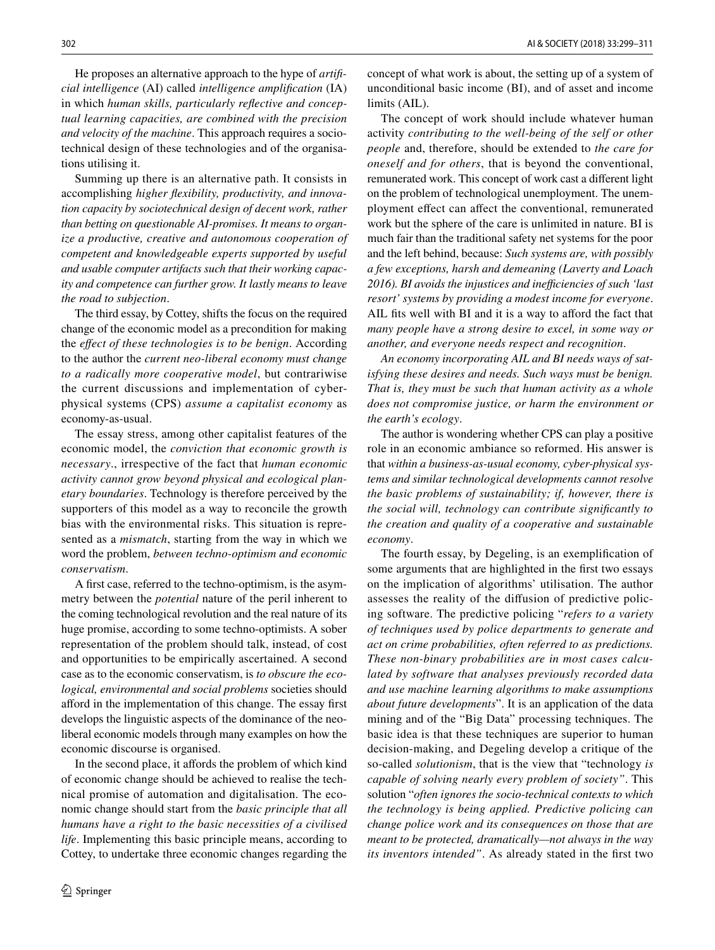He proposes an alternative approach to the hype of *artificial intelligence* (AI) called *intelligence amplification* (IA) in which *human skills, particularly reflective and conceptual learning capacities, are combined with the precision and velocity of the machine*. This approach requires a sociotechnical design of these technologies and of the organisations utilising it.

Summing up there is an alternative path. It consists in accomplishing *higher flexibility, productivity, and innovation capacity by sociotechnical design of decent work, rather than betting on questionable AI-promises. It means to organize a productive, creative and autonomous cooperation of competent and knowledgeable experts supported by useful and usable computer artifacts such that their working capacity and competence can further grow. It lastly means to leave the road to subjection*.

The third essay, by Cottey, shifts the focus on the required change of the economic model as a precondition for making the *effect of these technologies is to be benign*. According to the author the *current neo-liberal economy must change to a radically more cooperative model*, but contrariwise the current discussions and implementation of cyberphysical systems (CPS) *assume a capitalist economy* as economy-as-usual.

The essay stress, among other capitalist features of the economic model, the *conviction that economic growth is necessary*., irrespective of the fact that *human economic activity cannot grow beyond physical and ecological planetary boundaries*. Technology is therefore perceived by the supporters of this model as a way to reconcile the growth bias with the environmental risks. This situation is represented as a *mismatch*, starting from the way in which we word the problem, *between techno-optimism and economic conservatism*.

A first case, referred to the techno-optimism, is the asymmetry between the *potential* nature of the peril inherent to the coming technological revolution and the real nature of its huge promise, according to some techno-optimists. A sober representation of the problem should talk, instead, of cost and opportunities to be empirically ascertained. A second case as to the economic conservatism, is *to obscure the ecological, environmental and social problems* societies should afford in the implementation of this change. The essay first develops the linguistic aspects of the dominance of the neoliberal economic models through many examples on how the economic discourse is organised.

In the second place, it affords the problem of which kind of economic change should be achieved to realise the technical promise of automation and digitalisation. The economic change should start from the *basic principle that all humans have a right to the basic necessities of a civilised life*. Implementing this basic principle means, according to Cottey, to undertake three economic changes regarding the concept of what work is about, the setting up of a system of unconditional basic income (BI), and of asset and income limits (AIL).

The concept of work should include whatever human activity *contributing to the well-being of the self or other people* and, therefore, should be extended to *the care for oneself and for others*, that is beyond the conventional, remunerated work. This concept of work cast a different light on the problem of technological unemployment. The unemployment effect can affect the conventional, remunerated work but the sphere of the care is unlimited in nature. BI is much fair than the traditional safety net systems for the poor and the left behind, because: *Such systems are, with possibly a few exceptions, harsh and demeaning (Laverty and Loach 2016). BI avoids the injustices and inefficiencies of such 'last resort' systems by providing a modest income for everyone*. AIL fits well with BI and it is a way to afford the fact that *many people have a strong desire to excel, in some way or another, and everyone needs respect and recognition*.

*An economy incorporating AIL and BI needs ways of satisfying these desires and needs. Such ways must be benign. That is, they must be such that human activity as a whole does not compromise justice, or harm the environment or the earth's ecology*.

The author is wondering whether CPS can play a positive role in an economic ambiance so reformed. His answer is that *within a business-as-usual economy, cyber-physical systems and similar technological developments cannot resolve the basic problems of sustainability; if, however, there is the social will, technology can contribute significantly to the creation and quality of a cooperative and sustainable economy*.

The fourth essay, by Degeling, is an exemplification of some arguments that are highlighted in the first two essays on the implication of algorithms' utilisation. The author assesses the reality of the diffusion of predictive policing software. The predictive policing "*refers to a variety of techniques used by police departments to generate and act on crime probabilities, often referred to as predictions. These non-binary probabilities are in most cases calculated by software that analyses previously recorded data and use machine learning algorithms to make assumptions about future developments*". It is an application of the data mining and of the "Big Data" processing techniques. The basic idea is that these techniques are superior to human decision-making, and Degeling develop a critique of the so-called *solutionism*, that is the view that "technology *is capable of solving nearly every problem of society"*. This solution "*often ignores the socio-technical contexts to which the technology is being applied. Predictive policing can change police work and its consequences on those that are meant to be protected, dramatically—not always in the way its inventors intended"*. As already stated in the first two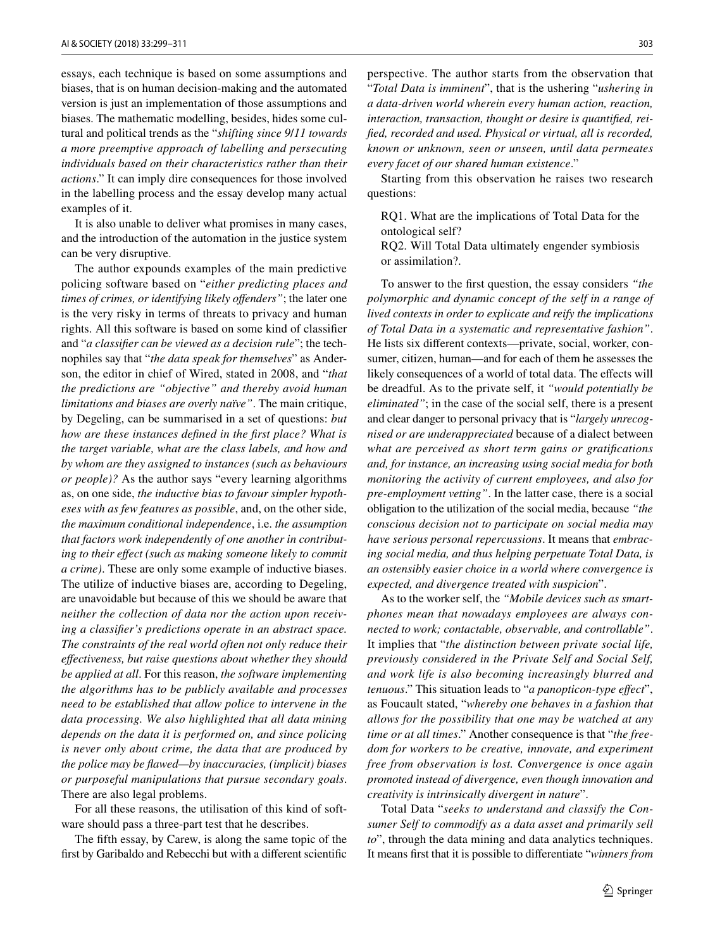essays, each technique is based on some assumptions and biases, that is on human decision-making and the automated version is just an implementation of those assumptions and biases. The mathematic modelling, besides, hides some cultural and political trends as the "*shifting since 9*/*11 towards a more preemptive approach of labelling and persecuting individuals based on their characteristics rather than their actions*." It can imply dire consequences for those involved in the labelling process and the essay develop many actual examples of it.

It is also unable to deliver what promises in many cases, and the introduction of the automation in the justice system can be very disruptive.

The author expounds examples of the main predictive policing software based on "*either predicting places and times of crimes, or identifying likely offenders"*; the later one is the very risky in terms of threats to privacy and human rights. All this software is based on some kind of classifier and "*a classifier can be viewed as a decision rule*"; the technophiles say that "*the data speak for themselves*" as Anderson, the editor in chief of Wired, stated in 2008, and "*that the predictions are "objective" and thereby avoid human limitations and biases are overly naïve"*. The main critique, by Degeling, can be summarised in a set of questions: *but how are these instances defined in the first place? What is the target variable, what are the class labels, and how and by whom are they assigned to instances (such as behaviours or people)?* As the author says "every learning algorithms as, on one side, *the inductive bias to favour simpler hypotheses with as few features as possible*, and, on the other side, *the maximum conditional independence*, i.e. *the assumption that factors work independently of one another in contributing to their effect (such as making someone likely to commit a crime)*. These are only some example of inductive biases. The utilize of inductive biases are, according to Degeling, are unavoidable but because of this we should be aware that *neither the collection of data nor the action upon receiving a classifier's predictions operate in an abstract space. The constraints of the real world often not only reduce their effectiveness, but raise questions about whether they should be applied at all*. For this reason, *the software implementing the algorithms has to be publicly available and processes need to be established that allow police to intervene in the data processing. We also highlighted that all data mining depends on the data it is performed on, and since policing is never only about crime, the data that are produced by the police may be flawed—by inaccuracies, (implicit) biases or purposeful manipulations that pursue secondary goals*. There are also legal problems.

For all these reasons, the utilisation of this kind of software should pass a three-part test that he describes.

The fifth essay, by Carew, is along the same topic of the first by Garibaldo and Rebecchi but with a different scientific perspective. The author starts from the observation that "*Total Data is imminent*", that is the ushering "*ushering in a data-driven world wherein every human action, reaction, interaction, transaction, thought or desire is quantified, reified, recorded and used. Physical or virtual, all is recorded, known or unknown, seen or unseen, until data permeates every facet of our shared human existence*."

Starting from this observation he raises two research questions:

RQ1. What are the implications of Total Data for the ontological self?

RQ2. Will Total Data ultimately engender symbiosis or assimilation?.

To answer to the first question, the essay considers *"the polymorphic and dynamic concept of the self in a range of lived contexts in order to explicate and reify the implications of Total Data in a systematic and representative fashion"*. He lists six different contexts—private, social, worker, consumer, citizen, human—and for each of them he assesses the likely consequences of a world of total data. The effects will be dreadful. As to the private self, it *"would potentially be eliminated"*; in the case of the social self, there is a present and clear danger to personal privacy that is "*largely unrecognised or are underappreciated* because of a dialect between *what are perceived as short term gains or gratifications and, for instance, an increasing using social media for both monitoring the activity of current employees, and also for pre-employment vetting"*. In the latter case, there is a social obligation to the utilization of the social media, because *"the conscious decision not to participate on social media may have serious personal repercussions*. It means that *embracing social media, and thus helping perpetuate Total Data, is an ostensibly easier choice in a world where convergence is expected, and divergence treated with suspicion*".

As to the worker self, the *"Mobile devices such as smartphones mean that nowadays employees are always connected to work; contactable, observable, and controllable"*. It implies that "*the distinction between private social life, previously considered in the Private Self and Social Self, and work life is also becoming increasingly blurred and tenuous*." This situation leads to "*a panopticon-type effect*", as Foucault stated, "*whereby one behaves in a fashion that allows for the possibility that one may be watched at any time or at all times*." Another consequence is that "*the freedom for workers to be creative, innovate, and experiment free from observation is lost. Convergence is once again promoted instead of divergence, even though innovation and creativity is intrinsically divergent in nature*".

Total Data "*seeks to understand and classify the Consumer Self to commodify as a data asset and primarily sell to*", through the data mining and data analytics techniques. It means first that it is possible to differentiate "*winners from*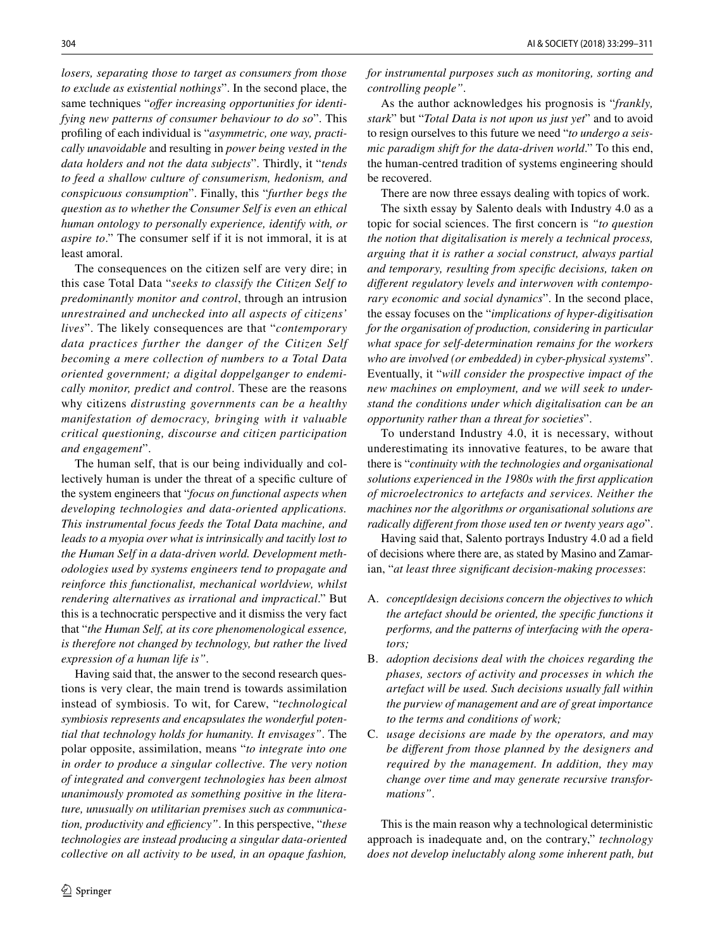*losers, separating those to target as consumers from those to exclude as existential nothings*". In the second place, the same techniques "*offer increasing opportunities for identifying new patterns of consumer behaviour to do so*". This profiling of each individual is "*asymmetric, one way, practically unavoidable* and resulting in *power being vested in the data holders and not the data subjects*". Thirdly, it "*tends to feed a shallow culture of consumerism, hedonism, and conspicuous consumption*". Finally, this "*further begs the question as to whether the Consumer Self is even an ethical human ontology to personally experience, identify with, or aspire to*." The consumer self if it is not immoral, it is at least amoral.

The consequences on the citizen self are very dire; in this case Total Data "*seeks to classify the Citizen Self to predominantly monitor and control*, through an intrusion *unrestrained and unchecked into all aspects of citizens' lives*". The likely consequences are that "*contemporary data practices further the danger of the Citizen Self becoming a mere collection of numbers to a Total Data oriented government; a digital doppelganger to endemically monitor, predict and control*. These are the reasons why citizens *distrusting governments can be a healthy manifestation of democracy, bringing with it valuable critical questioning, discourse and citizen participation and engagement*".

The human self, that is our being individually and collectively human is under the threat of a specific culture of the system engineers that "*focus on functional aspects when developing technologies and data-oriented applications. This instrumental focus feeds the Total Data machine, and leads to a myopia over what is intrinsically and tacitly lost to the Human Self in a data-driven world. Development methodologies used by systems engineers tend to propagate and reinforce this functionalist, mechanical worldview, whilst rendering alternatives as irrational and impractical*." But this is a technocratic perspective and it dismiss the very fact that "*the Human Self, at its core phenomenological essence, is therefore not changed by technology, but rather the lived expression of a human life is"*.

Having said that, the answer to the second research questions is very clear, the main trend is towards assimilation instead of symbiosis. To wit, for Carew, "*technological symbiosis represents and encapsulates the wonderful potential that technology holds for humanity. It envisages"*. The polar opposite, assimilation, means "*to integrate into one in order to produce a singular collective. The very notion of integrated and convergent technologies has been almost unanimously promoted as something positive in the literature, unusually on utilitarian premises such as communication, productivity and efficiency"*. In this perspective, "*these technologies are instead producing a singular data-oriented collective on all activity to be used, in an opaque fashion,* 

*for instrumental purposes such as monitoring, sorting and controlling people"*.

As the author acknowledges his prognosis is "*frankly, stark*" but "*Total Data is not upon us just yet*" and to avoid to resign ourselves to this future we need "*to undergo a seismic paradigm shift for the data-driven world*." To this end, the human-centred tradition of systems engineering should be recovered.

There are now three essays dealing with topics of work.

The sixth essay by Salento deals with Industry 4.0 as a topic for social sciences. The first concern is *"to question the notion that digitalisation is merely a technical process, arguing that it is rather a social construct, always partial and temporary, resulting from specific decisions, taken on different regulatory levels and interwoven with contemporary economic and social dynamics*". In the second place, the essay focuses on the "*implications of hyper-digitisation for the organisation of production, considering in particular what space for self-determination remains for the workers who are involved (or embedded) in cyber-physical systems*". Eventually, it "*will consider the prospective impact of the new machines on employment, and we will seek to understand the conditions under which digitalisation can be an opportunity rather than a threat for societies*".

To understand Industry 4.0, it is necessary, without underestimating its innovative features, to be aware that there is "*continuity with the technologies and organisational solutions experienced in the 1980s with the first application of microelectronics to artefacts and services. Neither the machines nor the algorithms or organisational solutions are radically different from those used ten or twenty years ago*".

Having said that, Salento portrays Industry 4.0 ad a field of decisions where there are, as stated by Masino and Zamarian, "*at least three significant decision-making processes*:

- A. *concept*/*design decisions concern the objectives to which the artefact should be oriented, the specific functions it performs, and the patterns of interfacing with the operators;*
- B. *adoption decisions deal with the choices regarding the phases, sectors of activity and processes in which the artefact will be used. Such decisions usually fall within the purview of management and are of great importance to the terms and conditions of work;*
- C. *usage decisions are made by the operators, and may be different from those planned by the designers and required by the management. In addition, they may change over time and may generate recursive transformations"*.

This is the main reason why a technological deterministic approach is inadequate and, on the contrary," *technology does not develop ineluctably along some inherent path, but*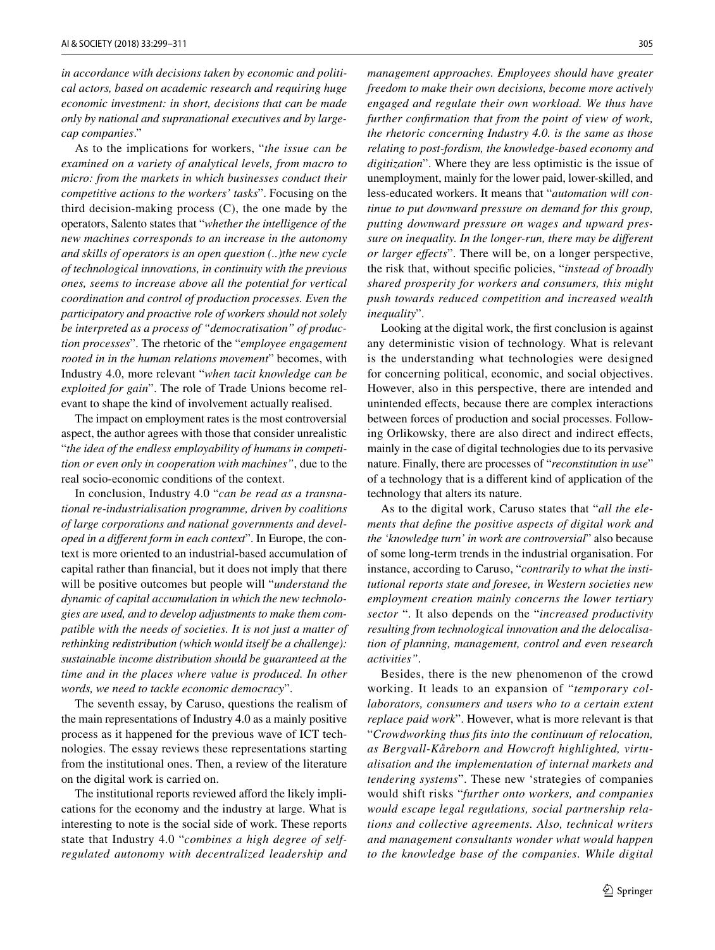*in accordance with decisions taken by economic and political actors, based on academic research and requiring huge economic investment: in short, decisions that can be made only by national and supranational executives and by largecap companies*."

As to the implications for workers, "*the issue can be examined on a variety of analytical levels, from macro to micro: from the markets in which businesses conduct their competitive actions to the workers' tasks*". Focusing on the third decision-making process (C), the one made by the operators, Salento states that "*whether the intelligence of the new machines corresponds to an increase in the autonomy and skills of operators is an open question (..)the new cycle of technological innovations, in continuity with the previous ones, seems to increase above all the potential for vertical coordination and control of production processes. Even the participatory and proactive role of workers should not solely be interpreted as a process of "democratisation" of production processes*". The rhetoric of the "*employee engagement rooted in in the human relations movement*" becomes, with Industry 4.0, more relevant "*when tacit knowledge can be exploited for gain*". The role of Trade Unions become relevant to shape the kind of involvement actually realised.

The impact on employment rates is the most controversial aspect, the author agrees with those that consider unrealistic "*the idea of the endless employability of humans in competition or even only in cooperation with machines"*, due to the real socio-economic conditions of the context.

In conclusion, Industry 4.0 "*can be read as a transnational re-industrialisation programme, driven by coalitions of large corporations and national governments and developed in a different form in each context*". In Europe, the context is more oriented to an industrial-based accumulation of capital rather than financial, but it does not imply that there will be positive outcomes but people will "*understand the dynamic of capital accumulation in which the new technologies are used, and to develop adjustments to make them compatible with the needs of societies. It is not just a matter of rethinking redistribution (which would itself be a challenge): sustainable income distribution should be guaranteed at the time and in the places where value is produced. In other words, we need to tackle economic democracy*".

The seventh essay, by Caruso, questions the realism of the main representations of Industry 4.0 as a mainly positive process as it happened for the previous wave of ICT technologies. The essay reviews these representations starting from the institutional ones. Then, a review of the literature on the digital work is carried on.

The institutional reports reviewed afford the likely implications for the economy and the industry at large. What is interesting to note is the social side of work. These reports state that Industry 4.0 "*combines a high degree of selfregulated autonomy with decentralized leadership and*  *management approaches. Employees should have greater freedom to make their own decisions, become more actively engaged and regulate their own workload. We thus have further confirmation that from the point of view of work, the rhetoric concerning Industry 4.0. is the same as those relating to post-fordism, the knowledge-based economy and digitization*". Where they are less optimistic is the issue of unemployment, mainly for the lower paid, lower-skilled, and less-educated workers. It means that "*automation will continue to put downward pressure on demand for this group, putting downward pressure on wages and upward pressure on inequality. In the longer-run, there may be different or larger effects*". There will be, on a longer perspective, the risk that, without specific policies, "*instead of broadly shared prosperity for workers and consumers, this might push towards reduced competition and increased wealth inequality*".

Looking at the digital work, the first conclusion is against any deterministic vision of technology. What is relevant is the understanding what technologies were designed for concerning political, economic, and social objectives. However, also in this perspective, there are intended and unintended effects, because there are complex interactions between forces of production and social processes. Following Orlikowsky, there are also direct and indirect effects, mainly in the case of digital technologies due to its pervasive nature. Finally, there are processes of "*reconstitution in use*" of a technology that is a different kind of application of the technology that alters its nature.

As to the digital work, Caruso states that "*all the elements that define the positive aspects of digital work and the 'knowledge turn' in work are controversial*" also because of some long-term trends in the industrial organisation. For instance, according to Caruso, "*contrarily to what the institutional reports state and foresee, in Western societies new employment creation mainly concerns the lower tertiary sector* ". It also depends on the "*increased productivity resulting from technological innovation and the delocalisation of planning, management, control and even research activities"*.

Besides, there is the new phenomenon of the crowd working. It leads to an expansion of "*temporary collaborators, consumers and users who to a certain extent replace paid work*". However, what is more relevant is that "*Crowdworking thus fits into the continuum of relocation, as Bergvall-Kåreborn and Howcroft highlighted, virtualisation and the implementation of internal markets and tendering systems*". These new 'strategies of companies would shift risks "*further onto workers, and companies would escape legal regulations, social partnership relations and collective agreements. Also, technical writers and management consultants wonder what would happen to the knowledge base of the companies. While digital*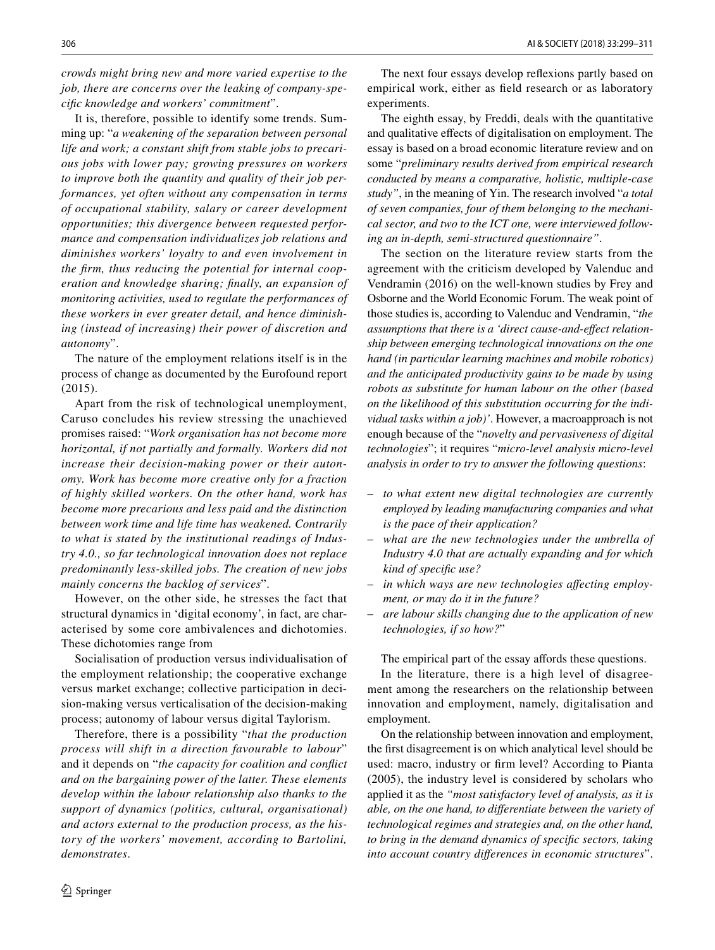*crowds might bring new and more varied expertise to the job, there are concerns over the leaking of company-specific knowledge and workers' commitment*".

It is, therefore, possible to identify some trends. Summing up: "*a weakening of the separation between personal life and work; a constant shift from stable jobs to precarious jobs with lower pay; growing pressures on workers to improve both the quantity and quality of their job performances, yet often without any compensation in terms of occupational stability, salary or career development opportunities; this divergence between requested performance and compensation individualizes job relations and diminishes workers' loyalty to and even involvement in the firm, thus reducing the potential for internal cooperation and knowledge sharing; finally, an expansion of monitoring activities, used to regulate the performances of these workers in ever greater detail, and hence diminishing (instead of increasing) their power of discretion and autonomy*".

The nature of the employment relations itself is in the process of change as documented by the Eurofound report (2015).

Apart from the risk of technological unemployment, Caruso concludes his review stressing the unachieved promises raised: "*Work organisation has not become more horizontal, if not partially and formally. Workers did not increase their decision-making power or their autonomy. Work has become more creative only for a fraction of highly skilled workers. On the other hand, work has become more precarious and less paid and the distinction between work time and life time has weakened. Contrarily to what is stated by the institutional readings of Industry 4.0., so far technological innovation does not replace predominantly less-skilled jobs. The creation of new jobs mainly concerns the backlog of services*".

However, on the other side, he stresses the fact that structural dynamics in 'digital economy', in fact, are characterised by some core ambivalences and dichotomies. These dichotomies range from

Socialisation of production versus individualisation of the employment relationship; the cooperative exchange versus market exchange; collective participation in decision-making versus verticalisation of the decision-making process; autonomy of labour versus digital Taylorism.

Therefore, there is a possibility "*that the production process will shift in a direction favourable to labour*" and it depends on "*the capacity for coalition and conflict and on the bargaining power of the latter. These elements develop within the labour relationship also thanks to the support of dynamics (politics, cultural, organisational) and actors external to the production process, as the history of the workers' movement, according to Bartolini, demonstrates*.

The next four essays develop reflexions partly based on empirical work, either as field research or as laboratory experiments.

The eighth essay, by Freddi, deals with the quantitative and qualitative effects of digitalisation on employment. The essay is based on a broad economic literature review and on some "*preliminary results derived from empirical research conducted by means a comparative, holistic, multiple-case study"*, in the meaning of Yin. The research involved "*a total of seven companies, four of them belonging to the mechanical sector, and two to the ICT one, were interviewed following an in-depth, semi-structured questionnaire"*.

The section on the literature review starts from the agreement with the criticism developed by Valenduc and Vendramin (2016) on the well-known studies by Frey and Osborne and the World Economic Forum. The weak point of those studies is, according to Valenduc and Vendramin, "*the assumptions that there is a 'direct cause-and-effect relationship between emerging technological innovations on the one hand (in particular learning machines and mobile robotics) and the anticipated productivity gains to be made by using robots as substitute for human labour on the other (based on the likelihood of this substitution occurring for the individual tasks within a job)'*. However, a macroapproach is not enough because of the "*novelty and pervasiveness of digital technologies*"; it requires "*micro-level analysis micro-level analysis in order to try to answer the following questions*:

- *to what extent new digital technologies are currently employed by leading manufacturing companies and what is the pace of their application?*
- *what are the new technologies under the umbrella of Industry 4.0 that are actually expanding and for which kind of specific use?*
- *in which ways are new technologies affecting employment, or may do it in the future?*
- *are labour skills changing due to the application of new technologies, if so how?*"

The empirical part of the essay affords these questions.

In the literature, there is a high level of disagreement among the researchers on the relationship between innovation and employment, namely, digitalisation and employment.

On the relationship between innovation and employment, the first disagreement is on which analytical level should be used: macro, industry or firm level? According to Pianta (2005), the industry level is considered by scholars who applied it as the *"most satisfactory level of analysis, as it is able, on the one hand, to differentiate between the variety of technological regimes and strategies and, on the other hand, to bring in the demand dynamics of specific sectors, taking into account country differences in economic structures*".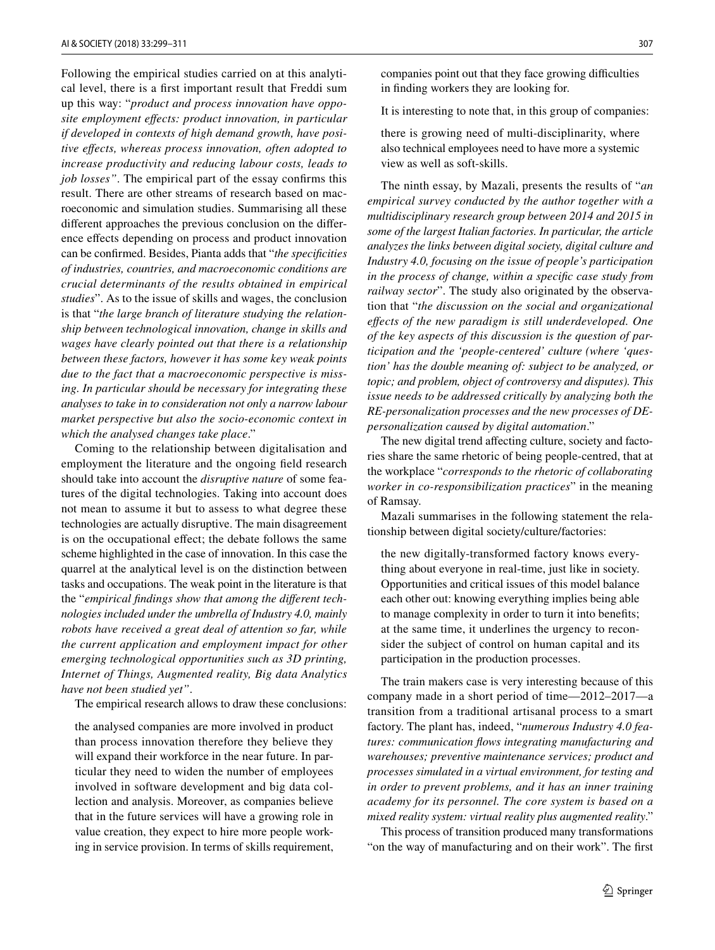Following the empirical studies carried on at this analytical level, there is a first important result that Freddi sum up this way: "*product and process innovation have opposite employment effects: product innovation, in particular if developed in contexts of high demand growth, have positive effects, whereas process innovation, often adopted to increase productivity and reducing labour costs, leads to job losses"*. The empirical part of the essay confirms this result. There are other streams of research based on macroeconomic and simulation studies. Summarising all these different approaches the previous conclusion on the difference effects depending on process and product innovation can be confirmed. Besides, Pianta adds that "*the specificities of industries, countries, and macroeconomic conditions are crucial determinants of the results obtained in empirical studies*". As to the issue of skills and wages, the conclusion is that "*the large branch of literature studying the relationship between technological innovation, change in skills and wages have clearly pointed out that there is a relationship between these factors, however it has some key weak points due to the fact that a macroeconomic perspective is missing. In particular should be necessary for integrating these analyses to take in to consideration not only a narrow labour market perspective but also the socio-economic context in which the analysed changes take place*."

Coming to the relationship between digitalisation and employment the literature and the ongoing field research should take into account the *disruptive nature* of some features of the digital technologies. Taking into account does not mean to assume it but to assess to what degree these technologies are actually disruptive. The main disagreement is on the occupational effect; the debate follows the same scheme highlighted in the case of innovation. In this case the quarrel at the analytical level is on the distinction between tasks and occupations. The weak point in the literature is that the "*empirical findings show that among the different technologies included under the umbrella of Industry 4.0, mainly robots have received a great deal of attention so far, while the current application and employment impact for other emerging technological opportunities such as 3D printing, Internet of Things, Augmented reality, Big data Analytics have not been studied yet"*.

The empirical research allows to draw these conclusions:

the analysed companies are more involved in product than process innovation therefore they believe they will expand their workforce in the near future. In particular they need to widen the number of employees involved in software development and big data collection and analysis. Moreover, as companies believe that in the future services will have a growing role in value creation, they expect to hire more people working in service provision. In terms of skills requirement, companies point out that they face growing difficulties in finding workers they are looking for.

It is interesting to note that, in this group of companies:

there is growing need of multi-disciplinarity, where also technical employees need to have more a systemic view as well as soft-skills.

The ninth essay, by Mazali, presents the results of "*an empirical survey conducted by the author together with a multidisciplinary research group between 2014 and 2015 in some of the largest Italian factories. In particular, the article analyzes the links between digital society, digital culture and Industry 4.0, focusing on the issue of people's participation in the process of change, within a specific case study from railway sector*". The study also originated by the observation that "*the discussion on the social and organizational effects of the new paradigm is still underdeveloped. One of the key aspects of this discussion is the question of participation and the 'people-centered' culture (where 'question' has the double meaning of: subject to be analyzed, or topic; and problem, object of controversy and disputes). This issue needs to be addressed critically by analyzing both the RE-personalization processes and the new processes of DEpersonalization caused by digital automation*."

The new digital trend affecting culture, society and factories share the same rhetoric of being people-centred, that at the workplace "*corresponds to the rhetoric of collaborating worker in co-responsibilization practices*" in the meaning of Ramsay.

Mazali summarises in the following statement the relationship between digital society/culture/factories:

the new digitally-transformed factory knows everything about everyone in real-time, just like in society. Opportunities and critical issues of this model balance each other out: knowing everything implies being able to manage complexity in order to turn it into benefits; at the same time, it underlines the urgency to reconsider the subject of control on human capital and its participation in the production processes.

The train makers case is very interesting because of this company made in a short period of time—2012–2017—a transition from a traditional artisanal process to a smart factory. The plant has, indeed, "*numerous Industry 4.0 features: communication flows integrating manufacturing and warehouses; preventive maintenance services; product and processes simulated in a virtual environment, for testing and in order to prevent problems, and it has an inner training academy for its personnel. The core system is based on a mixed reality system: virtual reality plus augmented reality*."

This process of transition produced many transformations "on the way of manufacturing and on their work". The first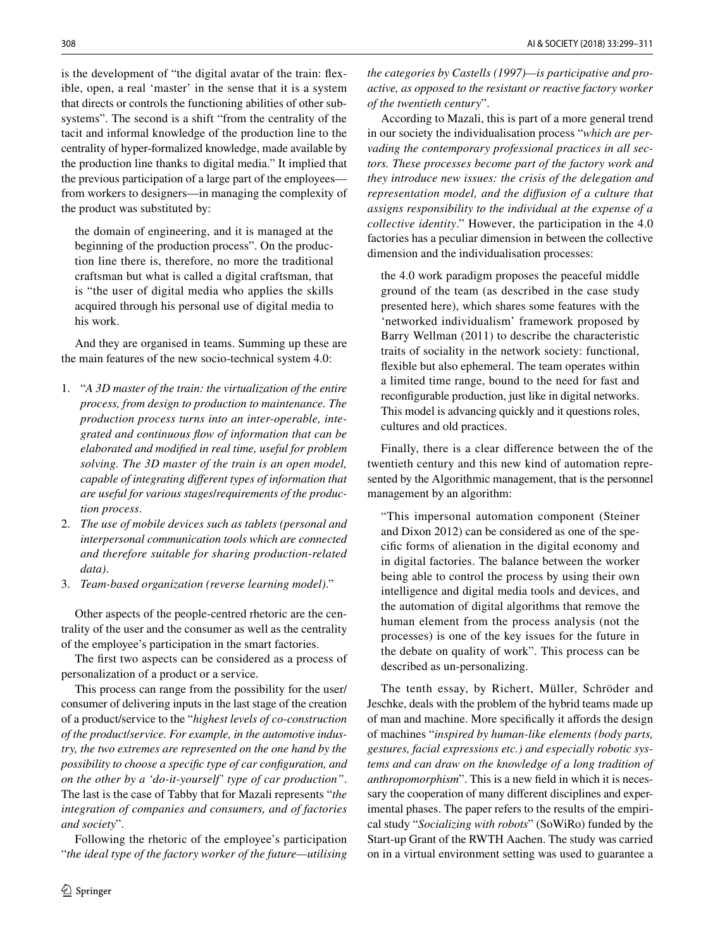is the development of "the digital avatar of the train: flexible, open, a real 'master' in the sense that it is a system that directs or controls the functioning abilities of other subsystems". The second is a shift "from the centrality of the tacit and informal knowledge of the production line to the centrality of hyper-formalized knowledge, made available by the production line thanks to digital media." It implied that the previous participation of a large part of the employees from workers to designers—in managing the complexity of the product was substituted by:

the domain of engineering, and it is managed at the beginning of the production process". On the production line there is, therefore, no more the traditional craftsman but what is called a digital craftsman, that is "the user of digital media who applies the skills acquired through his personal use of digital media to his work.

And they are organised in teams. Summing up these are the main features of the new socio-technical system 4.0:

- 1. "*A 3D master of the train: the virtualization of the entire process, from design to production to maintenance. The production process turns into an inter-operable, integrated and continuous flow of information that can be elaborated and modified in real time, useful for problem solving. The 3D master of the train is an open model, capable of integrating different types of information that are useful for various stages*/*requirements of the production process*.
- 2. *The use of mobile devices such as tablets (personal and interpersonal communication tools which are connected and therefore suitable for sharing production-related data)*.
- 3. *Team-based organization (reverse learning model)*."

Other aspects of the people-centred rhetoric are the centrality of the user and the consumer as well as the centrality of the employee's participation in the smart factories.

The first two aspects can be considered as a process of personalization of a product or a service.

This process can range from the possibility for the user/ consumer of delivering inputs in the last stage of the creation of a product/service to the "*highest levels of co-construction of the product*/*service. For example, in the automotive industry, the two extremes are represented on the one hand by the possibility to choose a specific type of car configuration, and on the other by a 'do-it-yourself' type of car production"*. The last is the case of Tabby that for Mazali represents "*the integration of companies and consumers, and of factories and society*".

Following the rhetoric of the employee's participation "*the ideal type of the factory worker of the future—utilising* 

*the categories by Castells (1997)—is participative and proactive, as opposed to the resistant or reactive factory worker of the twentieth century*".

According to Mazali, this is part of a more general trend in our society the individualisation process "*which are pervading the contemporary professional practices in all sectors. These processes become part of the factory work and they introduce new issues: the crisis of the delegation and representation model, and the diffusion of a culture that assigns responsibility to the individual at the expense of a collective identity*." However, the participation in the 4.0 factories has a peculiar dimension in between the collective dimension and the individualisation processes:

the 4.0 work paradigm proposes the peaceful middle ground of the team (as described in the case study presented here), which shares some features with the 'networked individualism' framework proposed by Barry Wellman (2011) to describe the characteristic traits of sociality in the network society: functional, flexible but also ephemeral. The team operates within a limited time range, bound to the need for fast and reconfigurable production, just like in digital networks. This model is advancing quickly and it questions roles, cultures and old practices.

Finally, there is a clear difference between the of the twentieth century and this new kind of automation represented by the Algorithmic management, that is the personnel management by an algorithm:

"This impersonal automation component (Steiner and Dixon 2012) can be considered as one of the specific forms of alienation in the digital economy and in digital factories. The balance between the worker being able to control the process by using their own intelligence and digital media tools and devices, and the automation of digital algorithms that remove the human element from the process analysis (not the processes) is one of the key issues for the future in the debate on quality of work". This process can be described as un-personalizing.

The tenth essay, by Richert, Müller, Schröder and Jeschke, deals with the problem of the hybrid teams made up of man and machine. More specifically it affords the design of machines "*inspired by human-like elements (body parts, gestures, facial expressions etc.) and especially robotic systems and can draw on the knowledge of a long tradition of anthropomorphism*". This is a new field in which it is necessary the cooperation of many different disciplines and experimental phases. The paper refers to the results of the empirical study "*Socializing with robots*" (SoWiRo) funded by the Start-up Grant of the RWTH Aachen. The study was carried on in a virtual environment setting was used to guarantee a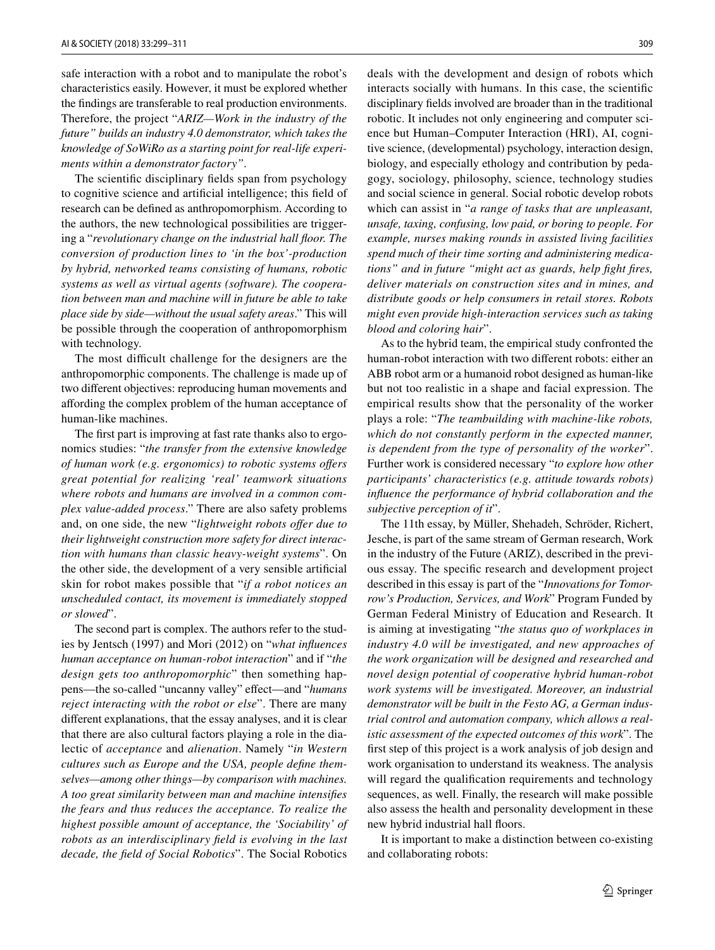safe interaction with a robot and to manipulate the robot's characteristics easily. However, it must be explored whether the findings are transferable to real production environments. Therefore, the project "*ARIZ—Work in the industry of the future" builds an industry 4.0 demonstrator, which takes the knowledge of SoWiRo as a starting point for real-life experiments within a demonstrator factory"*.

The scientific disciplinary fields span from psychology to cognitive science and artificial intelligence; this field of research can be defined as anthropomorphism. According to the authors, the new technological possibilities are triggering a "*revolutionary change on the industrial hall floor. The conversion of production lines to 'in the box'-production by hybrid, networked teams consisting of humans, robotic systems as well as virtual agents (software). The cooperation between man and machine will in future be able to take place side by side—without the usual safety areas*." This will be possible through the cooperation of anthropomorphism with technology.

The most difficult challenge for the designers are the anthropomorphic components. The challenge is made up of two different objectives: reproducing human movements and affording the complex problem of the human acceptance of human-like machines.

The first part is improving at fast rate thanks also to ergonomics studies: "*the transfer from the extensive knowledge of human work (e.g. ergonomics) to robotic systems offers great potential for realizing 'real' teamwork situations where robots and humans are involved in a common complex value-added process*." There are also safety problems and, on one side, the new "*lightweight robots offer due to their lightweight construction more safety for direct interaction with humans than classic heavy-weight systems*". On the other side, the development of a very sensible artificial skin for robot makes possible that "*if a robot notices an unscheduled contact, its movement is immediately stopped or slowed*".

The second part is complex. The authors refer to the studies by Jentsch (1997) and Mori (2012) on "*what influences human acceptance on human-robot interaction*" and if "*the design gets too anthropomorphic*" then something happens—the so-called "uncanny valley" effect—and "*humans reject interacting with the robot or else*". There are many different explanations, that the essay analyses, and it is clear that there are also cultural factors playing a role in the dialectic of *acceptance* and *alienation*. Namely "*in Western cultures such as Europe and the USA, people define themselves—among other things—by comparison with machines. A too great similarity between man and machine intensifies the fears and thus reduces the acceptance. To realize the highest possible amount of acceptance, the 'Sociability' of robots as an interdisciplinary field is evolving in the last decade, the field of Social Robotics*". The Social Robotics

deals with the development and design of robots which interacts socially with humans. In this case, the scientific disciplinary fields involved are broader than in the traditional robotic. It includes not only engineering and computer science but Human–Computer Interaction (HRI), AI, cognitive science, (developmental) psychology, interaction design, biology, and especially ethology and contribution by pedagogy, sociology, philosophy, science, technology studies and social science in general. Social robotic develop robots which can assist in "*a range of tasks that are unpleasant, unsafe, taxing, confusing, low paid, or boring to people. For example, nurses making rounds in assisted living facilities spend much of their time sorting and administering medications" and in future "might act as guards, help fight fires, deliver materials on construction sites and in mines, and distribute goods or help consumers in retail stores. Robots might even provide high-interaction services such as taking blood and coloring hair*".

As to the hybrid team, the empirical study confronted the human-robot interaction with two different robots: either an ABB robot arm or a humanoid robot designed as human-like but not too realistic in a shape and facial expression. The empirical results show that the personality of the worker plays a role: "*The teambuilding with machine-like robots, which do not constantly perform in the expected manner, is dependent from the type of personality of the worker*". Further work is considered necessary "*to explore how other participants' characteristics (e.g. attitude towards robots) influence the performance of hybrid collaboration and the subjective perception of it*".

The 11th essay, by Müller, Shehadeh, Schröder, Richert, Jesche, is part of the same stream of German research, Work in the industry of the Future (ARIZ), described in the previous essay. The specific research and development project described in this essay is part of the "*Innovations for Tomorrow's Production, Services, and Work*" Program Funded by German Federal Ministry of Education and Research. It is aiming at investigating "*the status quo of workplaces in industry 4.0 will be investigated, and new approaches of the work organization will be designed and researched and novel design potential of cooperative hybrid human-robot work systems will be investigated. Moreover, an industrial demonstrator will be built in the Festo AG, a German industrial control and automation company, which allows a realistic assessment of the expected outcomes of this work*". The first step of this project is a work analysis of job design and work organisation to understand its weakness. The analysis will regard the qualification requirements and technology sequences, as well. Finally, the research will make possible also assess the health and personality development in these new hybrid industrial hall floors.

It is important to make a distinction between co-existing and collaborating robots: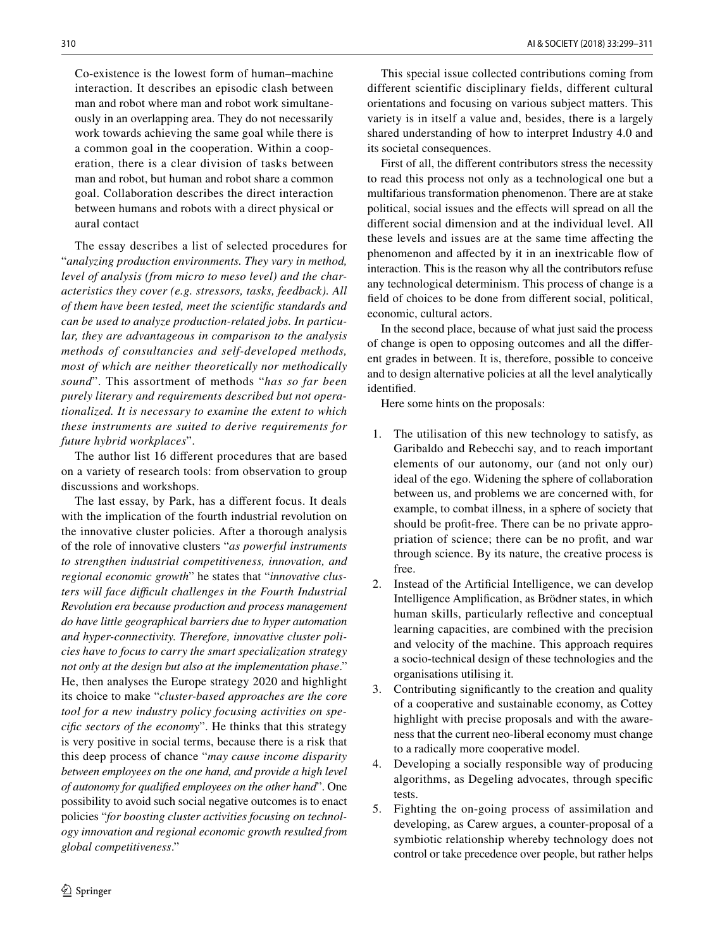Co-existence is the lowest form of human–machine interaction. It describes an episodic clash between man and robot where man and robot work simultaneously in an overlapping area. They do not necessarily work towards achieving the same goal while there is a common goal in the cooperation. Within a cooperation, there is a clear division of tasks between man and robot, but human and robot share a common goal. Collaboration describes the direct interaction between humans and robots with a direct physical or aural contact

The essay describes a list of selected procedures for "*analyzing production environments. They vary in method, level of analysis (from micro to meso level) and the characteristics they cover (e.g. stressors, tasks, feedback). All of them have been tested, meet the scientific standards and can be used to analyze production-related jobs. In particular, they are advantageous in comparison to the analysis methods of consultancies and self-developed methods, most of which are neither theoretically nor methodically sound*". This assortment of methods "*has so far been purely literary and requirements described but not operationalized. It is necessary to examine the extent to which these instruments are suited to derive requirements for future hybrid workplaces*".

The author list 16 different procedures that are based on a variety of research tools: from observation to group discussions and workshops.

The last essay, by Park, has a different focus. It deals with the implication of the fourth industrial revolution on the innovative cluster policies. After a thorough analysis of the role of innovative clusters "*as powerful instruments to strengthen industrial competitiveness, innovation, and regional economic growth*" he states that "*innovative clusters will face difficult challenges in the Fourth Industrial Revolution era because production and process management do have little geographical barriers due to hyper automation and hyper-connectivity. Therefore, innovative cluster policies have to focus to carry the smart specialization strategy not only at the design but also at the implementation phase*." He, then analyses the Europe strategy 2020 and highlight its choice to make "*cluster-based approaches are the core tool for a new industry policy focusing activities on specific sectors of the economy*". He thinks that this strategy is very positive in social terms, because there is a risk that this deep process of chance "*may cause income disparity between employees on the one hand, and provide a high level of autonomy for qualified employees on the other hand*". One possibility to avoid such social negative outcomes is to enact policies "*for boosting cluster activities focusing on technology innovation and regional economic growth resulted from global competitiveness*."

This special issue collected contributions coming from different scientific disciplinary fields, different cultural orientations and focusing on various subject matters. This variety is in itself a value and, besides, there is a largely shared understanding of how to interpret Industry 4.0 and its societal consequences.

First of all, the different contributors stress the necessity to read this process not only as a technological one but a multifarious transformation phenomenon. There are at stake political, social issues and the effects will spread on all the different social dimension and at the individual level. All these levels and issues are at the same time affecting the phenomenon and affected by it in an inextricable flow of interaction. This is the reason why all the contributors refuse any technological determinism. This process of change is a field of choices to be done from different social, political, economic, cultural actors.

In the second place, because of what just said the process of change is open to opposing outcomes and all the different grades in between. It is, therefore, possible to conceive and to design alternative policies at all the level analytically identified.

Here some hints on the proposals:

- 1. The utilisation of this new technology to satisfy, as Garibaldo and Rebecchi say, and to reach important elements of our autonomy, our (and not only our) ideal of the ego. Widening the sphere of collaboration between us, and problems we are concerned with, for example, to combat illness, in a sphere of society that should be profit-free. There can be no private appropriation of science; there can be no profit, and war through science. By its nature, the creative process is free.
- 2. Instead of the Artificial Intelligence, we can develop Intelligence Amplification, as Brödner states, in which human skills, particularly reflective and conceptual learning capacities, are combined with the precision and velocity of the machine. This approach requires a socio-technical design of these technologies and the organisations utilising it.
- 3. Contributing significantly to the creation and quality of a cooperative and sustainable economy, as Cottey highlight with precise proposals and with the awareness that the current neo-liberal economy must change to a radically more cooperative model.
- 4. Developing a socially responsible way of producing algorithms, as Degeling advocates, through specific tests.
- 5. Fighting the on-going process of assimilation and developing, as Carew argues, a counter-proposal of a symbiotic relationship whereby technology does not control or take precedence over people, but rather helps